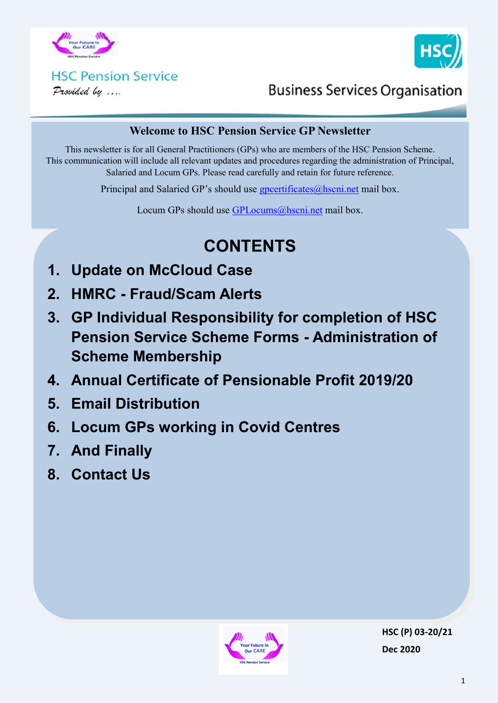



# **HSC Pension Service**

Provided by ....

### **Business Services Organisation**

#### **Welcome to HSC Pension Service GP Newsletter**

This newsletter is for all General Practitioners (GPs) who are members of the HSC Pension Scheme. This communication will include all relevant updates and procedures regarding the administration of Principal, Salaried and Locum GPs. Please read carefully and retain for future reference.

Principal and Salaried GP's should use [gpcertificates@hscni.net](mailto:gpcertificates@hscni.net) mail box.

Locum GPs should use [GPLocums@hscni.net](mailto:GPLocums@hscni.net) mail box.

# **CONTENTS**

- **1. Update on McCloud Case**
- **2. HMRC - Fraud/Scam Alerts**
- **3. GP Individual Responsibility for completion of HSC Pension Service Scheme Forms - Administration of Scheme Membership**
- **4. Annual Certificate of Pensionable Profit 2019/20**
- **5. Email Distribution**
- **6. Locum GPs working in Covid Centres**
- **7. And Finally**
- **8. Contact Us**

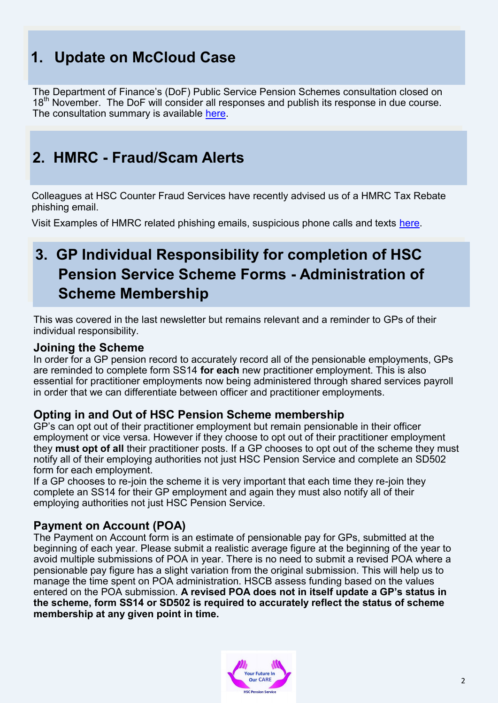## **1. Update on McCloud Case**

The Department of Finance's (DoF) Public Service Pension Schemes consultation closed on 18<sup>th</sup> November. The DoF will consider all responses and publish its response in due course. The consultation summary is available [here.](http://www.hscpensions.hscni.net/public-sector-pension-scheme-consultation-summary-2/)

### **2. HMRC - Fraud/Scam Alerts**

Colleagues at HSC Counter Fraud Services have recently advised us of a HMRC Tax Rebate phishing email.

Visit Examples of HMRC related phishing emails, suspicious phone calls and texts [here.](https://www.gov.uk/government/publications/phishing-and-bogus-emails-hm-revenue-and-customs-examples)

### **3. GP Individual Responsibility for completion of HSC Pension Service Scheme Forms - Administration of Scheme Membership**

This was covered in the last newsletter but remains relevant and a reminder to GPs of their individual responsibility.

#### **Joining the Scheme**

In order for a GP pension record to accurately record all of the pensionable employments, GPs are reminded to complete form SS14 **for each** new practitioner employment. This is also essential for practitioner employments now being administered through shared services payroll in order that we can differentiate between officer and practitioner employments.

#### **Opting in and Out of HSC Pension Scheme membership**

GP's can opt out of their practitioner employment but remain pensionable in their officer employment or vice versa. However if they choose to opt out of their practitioner employment they **must opt of all** their practitioner posts. If a GP chooses to opt out of the scheme they must notify all of their employing authorities not just HSC Pension Service and complete an SD502 form for each employment.

If a GP chooses to re-join the scheme it is very important that each time they re-join they complete an SS14 for their GP employment and again they must also notify all of their employing authorities not just HSC Pension Service.

#### **Payment on Account (POA)**

The Payment on Account form is an estimate of pensionable pay for GPs, submitted at the beginning of each year. Please submit a realistic average figure at the beginning of the year to avoid multiple submissions of POA in year. There is no need to submit a revised POA where a pensionable pay figure has a slight variation from the original submission. This will help us to manage the time spent on POA administration. HSCB assess funding based on the values entered on the POA submission. **A revised POA does not in itself update a GP's status in the scheme, form SS14 or SD502 is required to accurately reflect the status of scheme membership at any given point in time.**

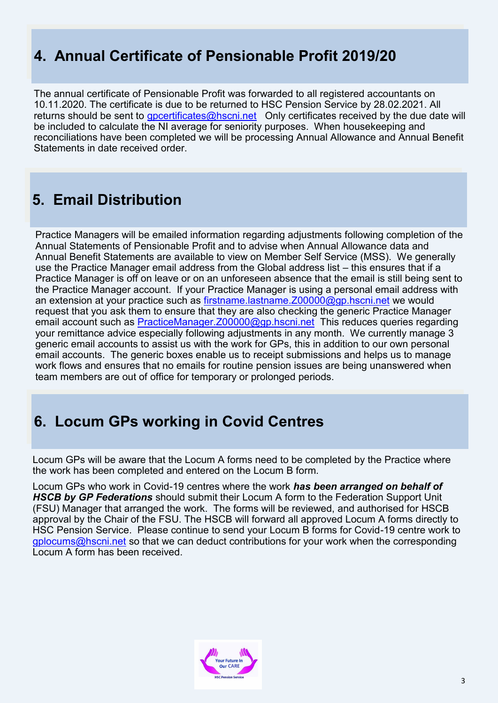### **4. Annual Certificate of Pensionable Profit 2019/20**

The annual certificate of Pensionable Profit was forwarded to all registered accountants on 10.11.2020. The certificate is due to be returned to HSC Pension Service by 28.02.2021. All returns should be sent to [gpcertificates@hscni.net](mailto:gpcertificates@hscni.net) Only certificates received by the due date will be included to calculate the NI average for seniority purposes. When housekeeping and reconciliations have been completed we will be processing Annual Allowance and Annual Benefit Statements in date received order.

### **5. Email Distribution**

Practice Managers will be emailed information regarding adjustments following completion of the Annual Statements of Pensionable Profit and to advise when Annual Allowance data and Annual Benefit Statements are available to view on Member Self Service (MSS). We generally use the Practice Manager email address from the Global address list – this ensures that if a Practice Manager is off on leave or on an unforeseen absence that the email is still being sent to the Practice Manager account. If your Practice Manager is using a personal email address with an extension at your practice such as [firstname.lastname.Z00000@gp.hscni.net](mailto:firstname.lastname.Z00000@gp.hscni.net) we would request that you ask them to ensure that they are also checking the generic Practice Manager email account such as [PracticeManager.Z00000@gp.hscni.net](mailto:PracticeManager.Z00000@gp.hscni.net) This reduces queries regarding your remittance advice especially following adjustments in any month. We currently manage 3 generic email accounts to assist us with the work for GPs, this in addition to our own personal email accounts. The generic boxes enable us to receipt submissions and helps us to manage work flows and ensures that no emails for routine pension issues are being unanswered when team members are out of office for temporary or prolonged periods.

### **6. Locum GPs working in Covid Centres**

Locum GPs will be aware that the Locum A forms need to be completed by the Practice where the work has been completed and entered on the Locum B form.

Locum GPs who work in Covid-19 centres where the work *has been arranged on behalf of HSCB by GP Federations* should submit their Locum A form to the Federation Support Unit (FSU) Manager that arranged the work. The forms will be reviewed, and authorised for HSCB approval by the Chair of the FSU. The HSCB will forward all approved Locum A forms directly to HSC Pension Service. Please continue to send your Locum B forms for Covid-19 centre work to [gplocums@hscni.net](mailto:gplocums@hscni.net) so that we can deduct contributions for your work when the corresponding Locum A form has been received.

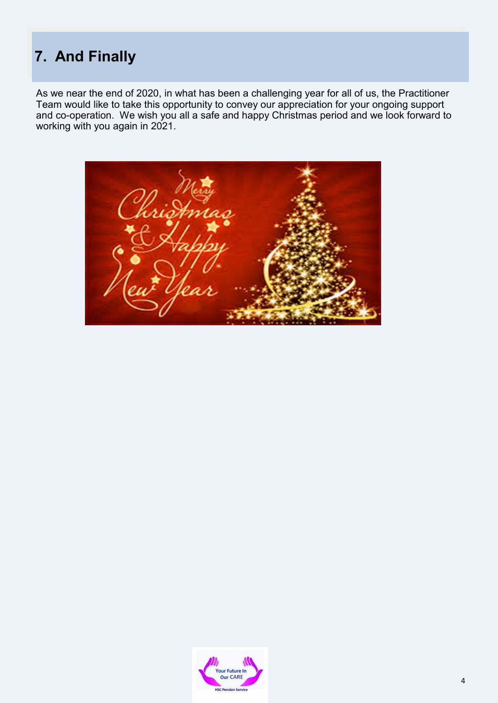# **7. And Finally**

As we near the end of 2020, in what has been a challenging year for all of us, the Practitioner Team would like to take this opportunity to convey our appreciation for your ongoing support and co-operation. We wish you all a safe and happy Christmas period and we look forward to working with you again in 2021.